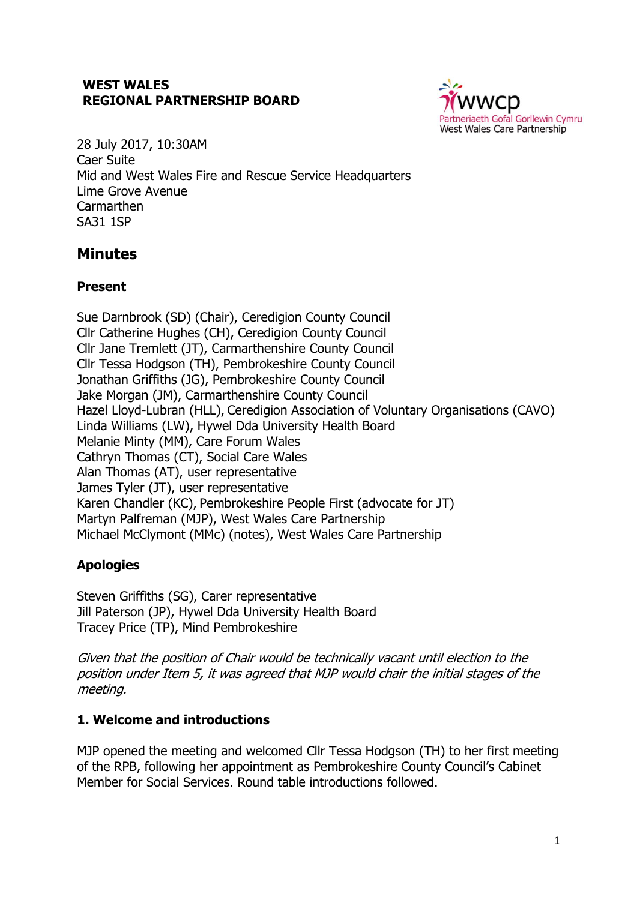### **WEST WALES REGIONAL PARTNERSHIP BOARD**



28 July 2017, 10:30AM Caer Suite Mid and West Wales Fire and Rescue Service Headquarters Lime Grove Avenue Carmarthen SA31 1SP

# **Minutes**

# **Present**

Sue Darnbrook (SD) (Chair), Ceredigion County Council Cllr Catherine Hughes (CH), Ceredigion County Council Cllr Jane Tremlett (JT), Carmarthenshire County Council Cllr Tessa Hodgson (TH), Pembrokeshire County Council Jonathan Griffiths (JG), Pembrokeshire County Council Jake Morgan (JM), Carmarthenshire County Council Hazel Lloyd-Lubran (HLL), Ceredigion Association of Voluntary Organisations (CAVO) Linda Williams (LW), Hywel Dda University Health Board Melanie Minty (MM), Care Forum Wales Cathryn Thomas (CT), Social Care Wales Alan Thomas (AT), user representative James Tyler (JT), user representative Karen Chandler (KC), Pembrokeshire People First (advocate for JT) Martyn Palfreman (MJP), West Wales Care Partnership Michael McClymont (MMc) (notes), West Wales Care Partnership

# **Apologies**

Steven Griffiths (SG), Carer representative Jill Paterson (JP), Hywel Dda University Health Board Tracey Price (TP), Mind Pembrokeshire

Given that the position of Chair would be technically vacant until election to the position under Item 5, it was agreed that MJP would chair the initial stages of the meeting.

# **1. Welcome and introductions**

MJP opened the meeting and welcomed Cllr Tessa Hodgson (TH) to her first meeting of the RPB, following her appointment as Pembrokeshire County Council's Cabinet Member for Social Services. Round table introductions followed.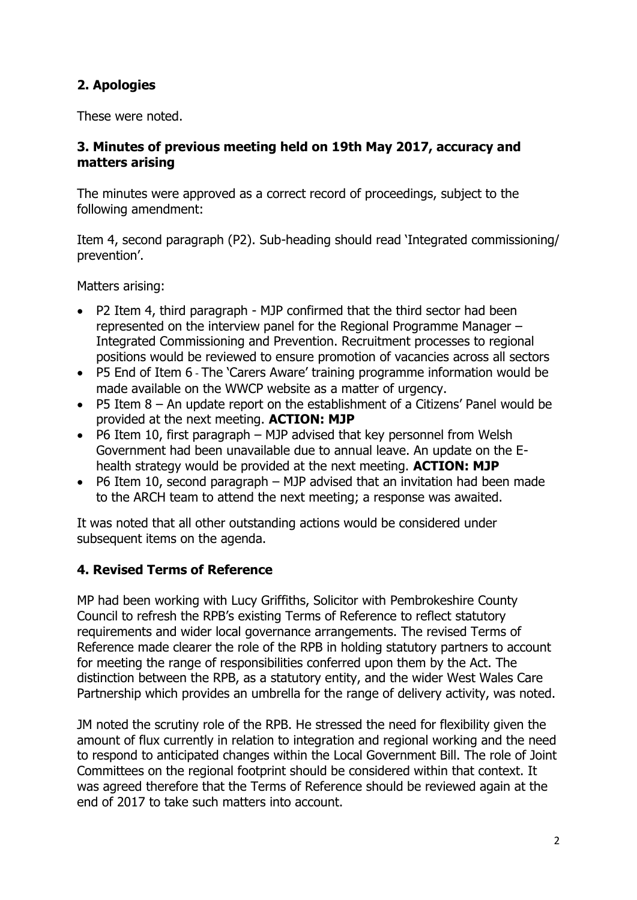# **2. Apologies**

These were noted.

### **3. Minutes of previous meeting held on 19th May 2017, accuracy and matters arising**

The minutes were approved as a correct record of proceedings, subject to the following amendment:

Item 4, second paragraph (P2). Sub-heading should read 'Integrated commissioning/ prevention'.

Matters arising:

- P2 Item 4, third paragraph MJP confirmed that the third sector had been represented on the interview panel for the Regional Programme Manager – Integrated Commissioning and Prevention. Recruitment processes to regional positions would be reviewed to ensure promotion of vacancies across all sectors
- P5 End of Item 6 The 'Carers Aware' training programme information would be made available on the WWCP website as a matter of urgency.
- P5 Item 8 An update report on the establishment of a Citizens' Panel would be provided at the next meeting. **ACTION: MJP**
- P6 Item 10, first paragraph MJP advised that key personnel from Welsh Government had been unavailable due to annual leave. An update on the Ehealth strategy would be provided at the next meeting. **ACTION: MJP**
- P6 Item 10, second paragraph MJP advised that an invitation had been made to the ARCH team to attend the next meeting; a response was awaited.

It was noted that all other outstanding actions would be considered under subsequent items on the agenda.

# **4. Revised Terms of Reference**

MP had been working with Lucy Griffiths, Solicitor with Pembrokeshire County Council to refresh the RPB's existing Terms of Reference to reflect statutory requirements and wider local governance arrangements. The revised Terms of Reference made clearer the role of the RPB in holding statutory partners to account for meeting the range of responsibilities conferred upon them by the Act. The distinction between the RPB, as a statutory entity, and the wider West Wales Care Partnership which provides an umbrella for the range of delivery activity, was noted.

JM noted the scrutiny role of the RPB. He stressed the need for flexibility given the amount of flux currently in relation to integration and regional working and the need to respond to anticipated changes within the Local Government Bill. The role of Joint Committees on the regional footprint should be considered within that context. It was agreed therefore that the Terms of Reference should be reviewed again at the end of 2017 to take such matters into account.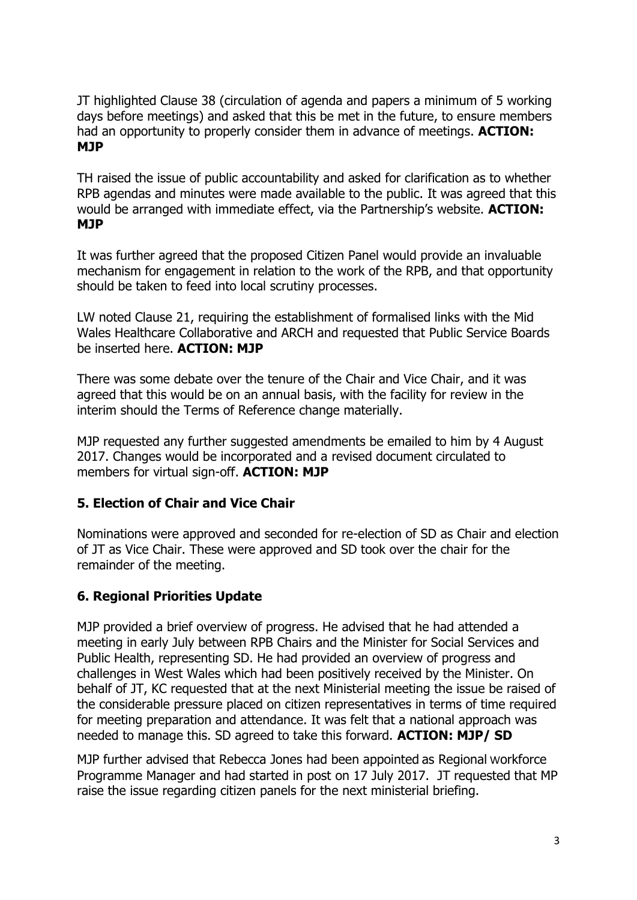JT highlighted Clause 38 (circulation of agenda and papers a minimum of 5 working days before meetings) and asked that this be met in the future, to ensure members had an opportunity to properly consider them in advance of meetings. **ACTION: MJP**

TH raised the issue of public accountability and asked for clarification as to whether RPB agendas and minutes were made available to the public. It was agreed that this would be arranged with immediate effect, via the Partnership's website. **ACTION: MJP**

It was further agreed that the proposed Citizen Panel would provide an invaluable mechanism for engagement in relation to the work of the RPB, and that opportunity should be taken to feed into local scrutiny processes.

LW noted Clause 21, requiring the establishment of formalised links with the Mid Wales Healthcare Collaborative and ARCH and requested that Public Service Boards be inserted here. **ACTION: MJP**

There was some debate over the tenure of the Chair and Vice Chair, and it was agreed that this would be on an annual basis, with the facility for review in the interim should the Terms of Reference change materially.

MJP requested any further suggested amendments be emailed to him by 4 August 2017. Changes would be incorporated and a revised document circulated to members for virtual sign-off. **ACTION: MJP**

### **5. Election of Chair and Vice Chair**

Nominations were approved and seconded for re-election of SD as Chair and election of JT as Vice Chair. These were approved and SD took over the chair for the remainder of the meeting.

### **6. Regional Priorities Update**

MJP provided a brief overview of progress. He advised that he had attended a meeting in early July between RPB Chairs and the Minister for Social Services and Public Health, representing SD. He had provided an overview of progress and challenges in West Wales which had been positively received by the Minister. On behalf of JT, KC requested that at the next Ministerial meeting the issue be raised of the considerable pressure placed on citizen representatives in terms of time required for meeting preparation and attendance. It was felt that a national approach was needed to manage this. SD agreed to take this forward. **ACTION: MJP/ SD**

MJP further advised that Rebecca Jones had been appointed as Regional Workforce Programme Manager and had started in post on 17 July 2017. JT requested that MP raise the issue regarding citizen panels for the next ministerial briefing.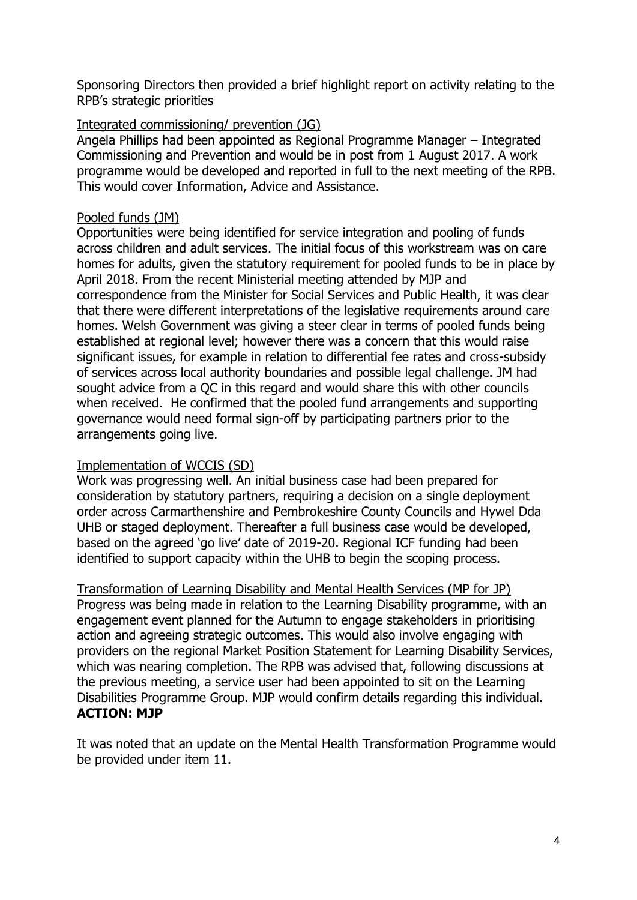Sponsoring Directors then provided a brief highlight report on activity relating to the RPB's strategic priorities

#### Integrated commissioning/ prevention (JG)

Angela Phillips had been appointed as Regional Programme Manager – Integrated Commissioning and Prevention and would be in post from 1 August 2017. A work programme would be developed and reported in full to the next meeting of the RPB. This would cover Information, Advice and Assistance.

#### Pooled funds (JM)

Opportunities were being identified for service integration and pooling of funds across children and adult services. The initial focus of this workstream was on care homes for adults, given the statutory requirement for pooled funds to be in place by April 2018. From the recent Ministerial meeting attended by MJP and correspondence from the Minister for Social Services and Public Health, it was clear that there were different interpretations of the legislative requirements around care homes. Welsh Government was giving a steer clear in terms of pooled funds being established at regional level; however there was a concern that this would raise significant issues, for example in relation to differential fee rates and cross-subsidy of services across local authority boundaries and possible legal challenge. JM had sought advice from a QC in this regard and would share this with other councils when received. He confirmed that the pooled fund arrangements and supporting governance would need formal sign-off by participating partners prior to the arrangements going live.

#### Implementation of WCCIS (SD)

Work was progressing well. An initial business case had been prepared for consideration by statutory partners, requiring a decision on a single deployment order across Carmarthenshire and Pembrokeshire County Councils and Hywel Dda UHB or staged deployment. Thereafter a full business case would be developed, based on the agreed 'go live' date of 2019-20. Regional ICF funding had been identified to support capacity within the UHB to begin the scoping process.

Transformation of Learning Disability and Mental Health Services (MP for JP) Progress was being made in relation to the Learning Disability programme, with an engagement event planned for the Autumn to engage stakeholders in prioritising action and agreeing strategic outcomes. This would also involve engaging with providers on the regional Market Position Statement for Learning Disability Services, which was nearing completion. The RPB was advised that, following discussions at the previous meeting, a service user had been appointed to sit on the Learning Disabilities Programme Group. MJP would confirm details regarding this individual. **ACTION: MJP**

It was noted that an update on the Mental Health Transformation Programme would be provided under item 11.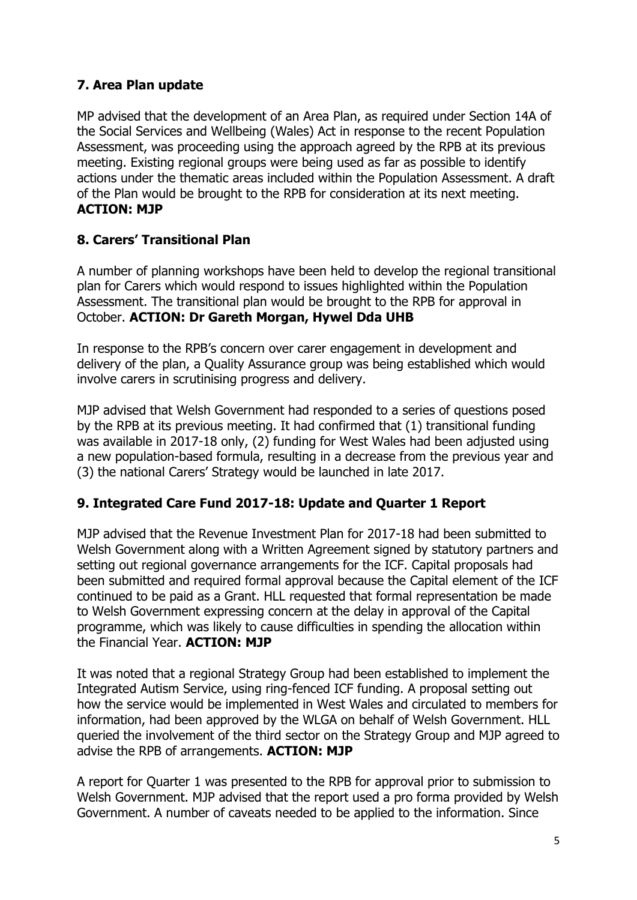# **7. Area Plan update**

MP advised that the development of an Area Plan, as required under Section 14A of the Social Services and Wellbeing (Wales) Act in response to the recent Population Assessment, was proceeding using the approach agreed by the RPB at its previous meeting. Existing regional groups were being used as far as possible to identify actions under the thematic areas included within the Population Assessment. A draft of the Plan would be brought to the RPB for consideration at its next meeting. **ACTION: MJP**

# **8. Carers' Transitional Plan**

A number of planning workshops have been held to develop the regional transitional plan for Carers which would respond to issues highlighted within the Population Assessment. The transitional plan would be brought to the RPB for approval in October. **ACTION: Dr Gareth Morgan, Hywel Dda UHB**

In response to the RPB's concern over carer engagement in development and delivery of the plan, a Quality Assurance group was being established which would involve carers in scrutinising progress and delivery.

MJP advised that Welsh Government had responded to a series of questions posed by the RPB at its previous meeting. It had confirmed that (1) transitional funding was available in 2017-18 only, (2) funding for West Wales had been adjusted using a new population-based formula, resulting in a decrease from the previous year and (3) the national Carers' Strategy would be launched in late 2017.

### **9. Integrated Care Fund 2017-18: Update and Quarter 1 Report**

MJP advised that the Revenue Investment Plan for 2017-18 had been submitted to Welsh Government along with a Written Agreement signed by statutory partners and setting out regional governance arrangements for the ICF. Capital proposals had been submitted and required formal approval because the Capital element of the ICF continued to be paid as a Grant. HLL requested that formal representation be made to Welsh Government expressing concern at the delay in approval of the Capital programme, which was likely to cause difficulties in spending the allocation within the Financial Year. **ACTION: MJP**

It was noted that a regional Strategy Group had been established to implement the Integrated Autism Service, using ring-fenced ICF funding. A proposal setting out how the service would be implemented in West Wales and circulated to members for information, had been approved by the WLGA on behalf of Welsh Government. HLL queried the involvement of the third sector on the Strategy Group and MJP agreed to advise the RPB of arrangements. **ACTION: MJP**

A report for Quarter 1 was presented to the RPB for approval prior to submission to Welsh Government. MJP advised that the report used a pro forma provided by Welsh Government. A number of caveats needed to be applied to the information. Since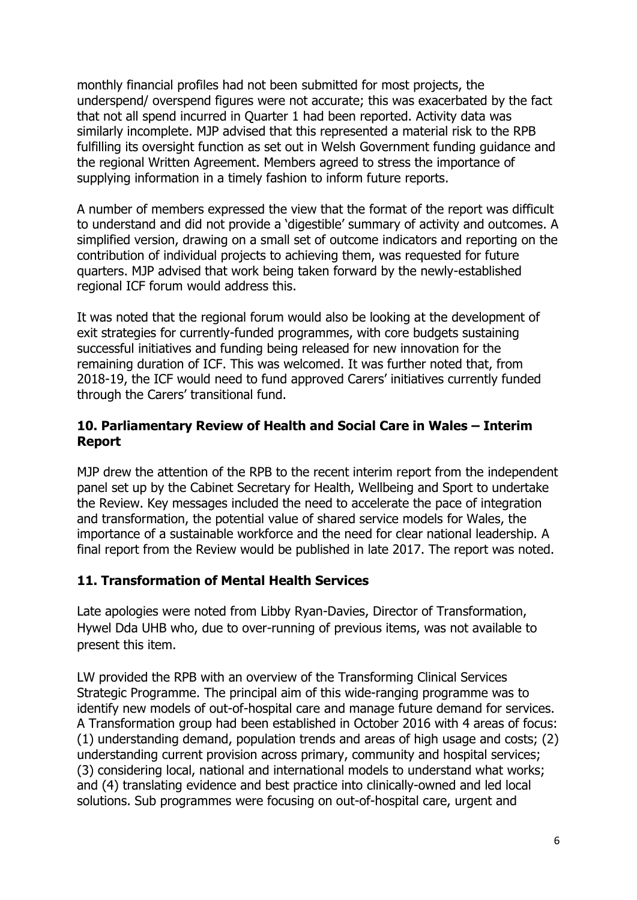monthly financial profiles had not been submitted for most projects, the underspend/ overspend figures were not accurate; this was exacerbated by the fact that not all spend incurred in Quarter 1 had been reported. Activity data was similarly incomplete. MJP advised that this represented a material risk to the RPB fulfilling its oversight function as set out in Welsh Government funding guidance and the regional Written Agreement. Members agreed to stress the importance of supplying information in a timely fashion to inform future reports.

A number of members expressed the view that the format of the report was difficult to understand and did not provide a 'digestible' summary of activity and outcomes. A simplified version, drawing on a small set of outcome indicators and reporting on the contribution of individual projects to achieving them, was requested for future quarters. MJP advised that work being taken forward by the newly-established regional ICF forum would address this.

It was noted that the regional forum would also be looking at the development of exit strategies for currently-funded programmes, with core budgets sustaining successful initiatives and funding being released for new innovation for the remaining duration of ICF. This was welcomed. It was further noted that, from 2018-19, the ICF would need to fund approved Carers' initiatives currently funded through the Carers' transitional fund.

#### **10. Parliamentary Review of Health and Social Care in Wales – Interim Report**

MJP drew the attention of the RPB to the recent interim report from the independent panel set up by the Cabinet Secretary for Health, Wellbeing and Sport to undertake the Review. Key messages included the need to accelerate the pace of integration and transformation, the potential value of shared service models for Wales, the importance of a sustainable workforce and the need for clear national leadership. A final report from the Review would be published in late 2017. The report was noted.

### **11. Transformation of Mental Health Services**

Late apologies were noted from Libby Ryan-Davies, Director of Transformation, Hywel Dda UHB who, due to over-running of previous items, was not available to present this item.

LW provided the RPB with an overview of the Transforming Clinical Services Strategic Programme. The principal aim of this wide-ranging programme was to identify new models of out-of-hospital care and manage future demand for services. A Transformation group had been established in October 2016 with 4 areas of focus: (1) understanding demand, population trends and areas of high usage and costs; (2) understanding current provision across primary, community and hospital services; (3) considering local, national and international models to understand what works; and (4) translating evidence and best practice into clinically-owned and led local solutions. Sub programmes were focusing on out-of-hospital care, urgent and